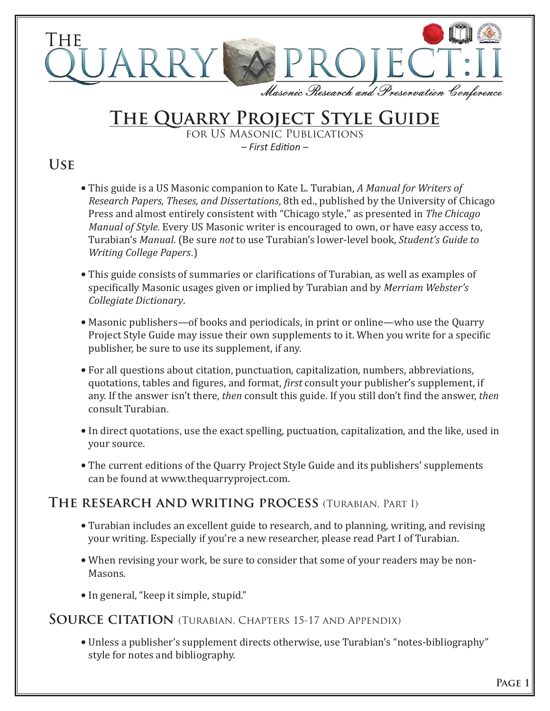

# **The Quarry Project Style Guide**

for US Masonic Publications *– First Editon –*

## **Use**

- This guide is a US Masonic companion to Kate L. Turabian, *A Manual for Writers of Research Papers, Theses, and Dissertations*, 8th ed., published by the University of Chicago Press and almost entirely consistent with "Chicago style," as presented in *The Chicago Manual of Style.* Every US Masonic writer is encouraged to own, or have easy access to, Turabian's *Manual*. (Be sure *not* to use Turabian's lower-level book, *Student's Guide to Writing College Papers*.)
- This guide consists of summaries or clarifications of Turabian, as well as examples of specifically Masonic usages given or implied by Turabian and by *Merriam Webster's Collegiate Dictionary*.
- Masonic publishers—of books and periodicals, in print or online—who use the Quarry Project Style Guide may issue their own supplements to it. When you write for a specific publisher, be sure to use its supplement, if any.
- For all questions about citation, punctuation, capitalization, numbers, abbreviations, quotations, tables and figures, and format, *first* consult your publisher's supplement, if any. If the answer isn't there, *then* consult this guide. If you still don't find the answer, *then* consult Turabian.
- In direct quotations, use the exact spelling, puctuation, capitalization, and the like, used in your source.
- The current editions of the Quarry Project Style Guide and its publishers' supplements can be found at www.thequarryproject.com.

## **The research and writing process** (Turabian, Part I)

- Turabian includes an excellent guide to research, and to planning, writing, and revising your writing. Especially if you're a new researcher, please read Part I of Turabian.
- When revising your work, be sure to consider that some of your readers may be non-Masons.
- In general, "keep it simple, stupid."

## **Source citation** (Turabian, Chapters 15-17 and Appendix)

• Unless a publisher's supplement directs otherwise, use Turabian's "notes-bibliography" style for notes and bibliography.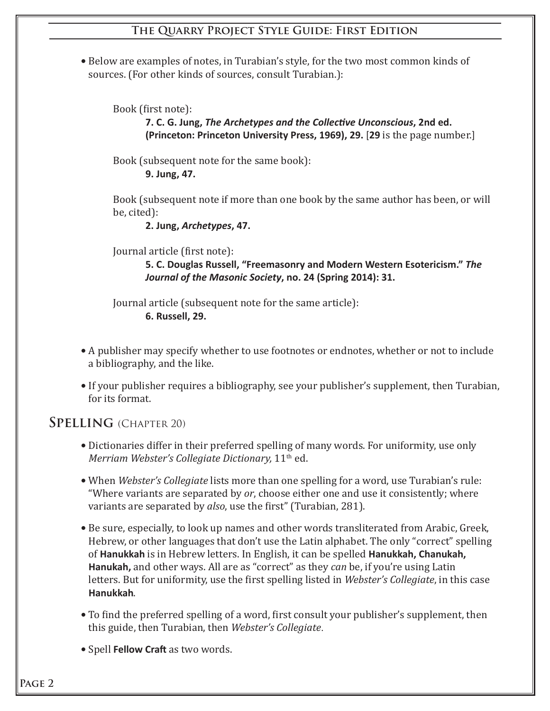#### **The Quarry Project Style Guide: First Edition**

• Below are examples of notes, in Turabian's style, for the two most common kinds of sources. (For other kinds of sources, consult Turabian.):

Book (first note):

 **7. C. G. Jung,** *The Archetypes and the Collectve Unconscious***, 2nd ed. (Princeton: Princeton University Press, 1969), 29.** [**29** is the page number.]

 Book (subsequent note for the same book):  **9. Jung, 47.**

 Book (subsequent note if more than one book by the same author has been, or will be, cited):

 **2. Jung,** *Archetypes***, 47.**

Journal article (first note):

 **5. C. Douglas Russell, "Freemasonry and Modern Western Esotericism."** *The Journal of the Masonic Society***, no. 24 (Spring 2014): 31.**

 Journal article (subsequent note for the same article):  **6. Russell, 29.**

- A publisher may specify whether to use footnotes or endnotes, whether or not to include a bibliography, and the like.
- If your publisher requires a bibliography, see your publisher's supplement, then Turabian, for its format.

## **Spelling** (Chapter 20)

- Dictionaries differ in their preferred spelling of many words. For uniformity, use only *Merriam Webster's Collegiate Dictionary,* 11<sup>th</sup> ed.
- **•** When *Webster's Collegiate* lists more than one spelling for a word, use Turabian's rule: "Where variants are separated by *or*, choose either one and use it consistently; where variants are separated by *also*, use the first" (Turabian, 281).
- Be sure, especially, to look up names and other words transliterated from Arabic, Greek, Hebrew, or other languages that don't use the Latin alphabet. The only "correct" spelling of **Hanukkah** is in Hebrew letters. In English, it can be spelled **Hanukkah, Chanukah, Hanukah,** and other ways. All are as "correct" as they *can* be, if you're using Latin letters. But for uniformity, use the first spelling listed in *Webster's Collegiate*, in this case **Hanukkah**.
- To find the preferred spelling of a word, first consult your publisher's supplement, then this guide, then Turabian, then *Webster's Collegiate*.
- **•** Spell **Fellow Craft** as two words.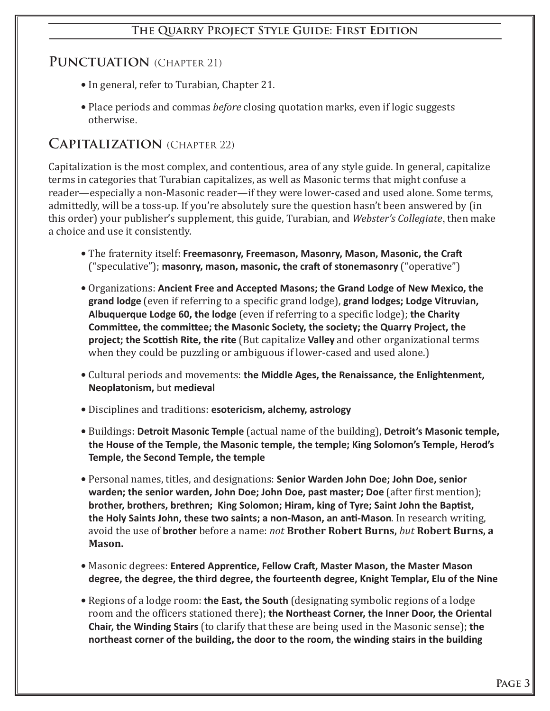#### **The Quarry Project Style Guide: First Edition**

#### PUNCTUATION *(CHAPTER 21)*

- In general, refer to Turabian, Chapter 21.
- Place periods and commas *before* closing quotation marks, even if logic suggests otherwise.

#### **Capitalization** (Chapter 22)

Capitalization is the most complex, and contentious, area of any style guide. In general, capitalize terms in categories that Turabian capitalizes, as well as Masonic terms that might confuse a reader—especially a non-Masonic reader—if they were lower-cased and used alone. Some terms, admittedly, will be a toss-up. If you're absolutely sure the question hasn't been answered by (in this order) your publisher's supplement, this guide, Turabian*,* and *Webster's Collegiate*, then make a choice and use it consistently.

- **•** The fraternity itself: **Freemasonry, Freemason, Masonry, Mason, Masonic, the Craf** ("speculative"); **masonry, mason, masonic, the craf of stonemasonry** ("operative")
- **•** Organizations: **Ancient Free and Accepted Masons; the Grand Lodge of New Mexico, the grand lodge** (even if referring to a specific grand lodge), **grand lodges; Lodge Vitruvian, Albuquerque Lodge 60, the lodge** (even if referring to a specific lodge); **the Charity Commitee, the commitee; the Masonic Society, the society; the Quarry Project, the project; the Scottish Rite, the rite** (But capitalize Valley and other organizational terms when they could be puzzling or ambiguous if lower-cased and used alone.)
- **•** Cultural periods and movements: the Middle Ages, the Renaissance, the Enlightenment, **Neoplatonism,** but **medieval**
- **•** Disciplines and traditions: **esotericism, alchemy, astrology**
- **•** Buildings: **Detroit Masonic Temple** (actual name of the building), **Detroit's Masonic temple, the House of the Temple, the Masonic temple, the temple; King Solomon's Temple, Herod's Temple, the Second Temple, the temple**
- **Personal names, titles, and designations: Senior Warden John Doe; John Doe, senior warden; the senior warden, John Doe; John Doe, past master; Doe** (after first mention); **brother, brothers, brethren; King Solomon; Hiram, king of Tyre; Saint John the Baptst, the Holy Saints John, these two saints; a non-Mason, an ant-Mason**. In research writing, avoid the use of **brother** before a name: *not* **Brother Robert Burns,** *but* **Robert Burns, a Mason.**
- $\bullet$  Masonic degrees: Entered Apprentice, Fellow Craft, Master Mason, the Master Mason **degree, the degree, the third degree, the fourteenth degree, Knight Templar, Elu of the Nine**
- Regions of a lodge room: **the East, the South** (designating symbolic regions of a lodge room and the officers stationed there); **the Northeast Corner, the Inner Door, the Oriental Chair, the Winding Stairs** (to clarify that these are being used in the Masonic sense); **the northeast corner of the building, the door to the room, the winding stairs in the building**